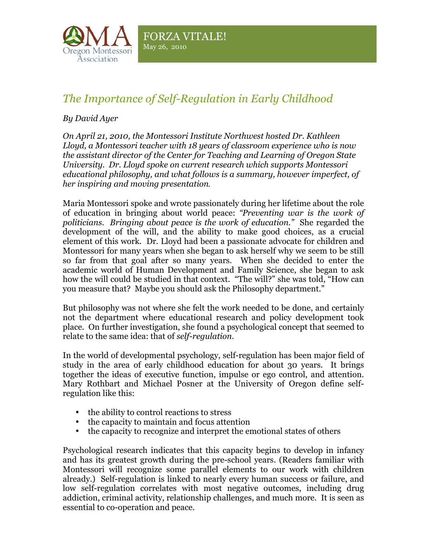

## *The Importance of Self-Regulation in Early Childhood*

## *By David Ayer*

*On April 21, 2010, the Montessori Institute Northwest hosted Dr. Kathleen Lloyd, a Montessori teacher with 18 years of classroom experience who is now the assistant director of the Center for Teaching and Learning of Oregon State University. Dr. Lloyd spoke on current research which supports Montessori educational philosophy, and what follows is a summary, however imperfect, of her inspiring and moving presentation*.

Maria Montessori spoke and wrote passionately during her lifetime about the role of education in bringing about world peace: *"Preventing war is the work of politicians. Bringing about peace is the work of education."* She regarded the development of the will, and the ability to make good choices, as a crucial element of this work. Dr. Lloyd had been a passionate advocate for children and Montessori for many years when she began to ask herself why we seem to be still so far from that goal after so many years. When she decided to enter the academic world of Human Development and Family Science, she began to ask how the will could be studied in that context. "The will?" she was told, "How can you measure that? Maybe you should ask the Philosophy department."

But philosophy was not where she felt the work needed to be done, and certainly not the department where educational research and policy development took place. On further investigation, she found a psychological concept that seemed to relate to the same idea: that of *self-regulation*.

In the world of developmental psychology, self-regulation has been major field of study in the area of early childhood education for about 30 years. It brings together the ideas of executive function, impulse or ego control, and attention. Mary Rothbart and Michael Posner at the University of Oregon define selfregulation like this:

- the ability to control reactions to stress
- the capacity to maintain and focus attention
- the capacity to recognize and interpret the emotional states of others

Psychological research indicates that this capacity begins to develop in infancy and has its greatest growth during the pre-school years. (Readers familiar with Montessori will recognize some parallel elements to our work with children already.) Self-regulation is linked to nearly every human success or failure, and low self-regulation correlates with most negative outcomes, including drug addiction, criminal activity, relationship challenges, and much more. It is seen as essential to co-operation and peace.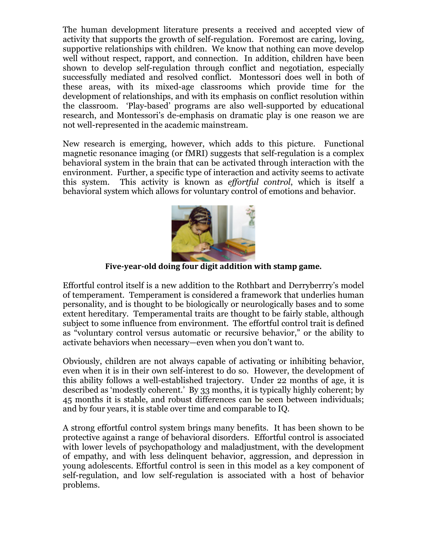The human development literature presents a received and accepted view of activity that supports the growth of self-regulation. Foremost are caring, loving, supportive relationships with children. We know that nothing can move develop well without respect, rapport, and connection. In addition, children have been shown to develop self-regulation through conflict and negotiation, especially successfully mediated and resolved conflict. Montessori does well in both of these areas, with its mixed-age classrooms which provide time for the development of relationships, and with its emphasis on conflict resolution within the classroom. 'Play-based' programs are also well-supported by educational research, and Montessori's de-emphasis on dramatic play is one reason we are not well-represented in the academic mainstream.

New research is emerging, however, which adds to this picture. Functional magnetic resonance imaging (or fMRI) suggests that self-regulation is a complex behavioral system in the brain that can be activated through interaction with the environment. Further, a specific type of interaction and activity seems to activate this system. This activity is known as *effortful control*, which is itself a behavioral system which allows for voluntary control of emotions and behavior.



Five-year-old doing four digit addition with stamp game.

Effortful control itself is a new addition to the Rothbart and Derryberrry's model of temperament. Temperament is considered a framework that underlies human personality, and is thought to be biologically or neurologically bases and to some extent hereditary. Temperamental traits are thought to be fairly stable, although subject to some influence from environment. The effortful control trait is defined as "voluntary control versus automatic or recursive behavior," or the ability to activate behaviors when necessary—even when you don't want to.

Obviously, children are not always capable of activating or inhibiting behavior, even when it is in their own self-interest to do so. However, the development of this ability follows a well-established trajectory. Under 22 months of age, it is described as 'modestly coherent.' By 33 months, it is typically highly coherent; by 45 months it is stable, and robust differences can be seen between individuals; and by four years, it is stable over time and comparable to IQ.

A strong effortful control system brings many benefits. It has been shown to be protective against a range of behavioral disorders. Effortful control is associated with lower levels of psychopathology and maladjustment, with the development of empathy, and with less delinquent behavior, aggression, and depression in young adolescents. Effortful control is seen in this model as a key component of self-regulation, and low self-regulation is associated with a host of behavior problems.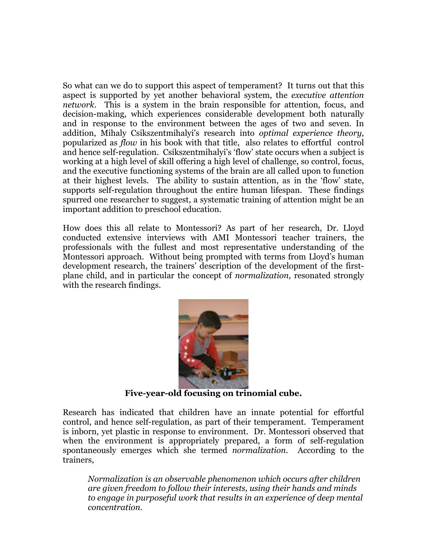So what can we do to support this aspect of temperament? It turns out that this aspect is supported by yet another behavioral system, the *executive attention network*. This is a system in the brain responsible for attention, focus, and decision-making, which experiences considerable development both naturally and in response to the environment between the ages of two and seven. In addition, Mihaly Csikszentmihalyi's research into *optimal experience theory*, popularized as *flow* in his book with that title, also relates to effortful control and hence self-regulation. Csikszentmihalyi's 'flow' state occurs when a subject is working at a high level of skill offering a high level of challenge, so control, focus, and the executive functioning systems of the brain are all called upon to function at their highest levels. The ability to sustain attention, as in the 'flow' state, supports self-regulation throughout the entire human lifespan. These findings spurred one researcher to suggest, a systematic training of attention might be an important addition to preschool education.

How does this all relate to Montessori? As part of her research, Dr. Lloyd conducted extensive interviews with AMI Montessori teacher trainers, the professionals with the fullest and most representative understanding of the Montessori approach. Without being prompted with terms from Lloyd's human development research, the trainers' description of the development of the firstplane child, and in particular the concept of *normalization*, resonated strongly with the research findings.



**Five-year-old focusing on trinomial cube.**

Research has indicated that children have an innate potential for effortful control, and hence self-regulation, as part of their temperament. Temperament is inborn, yet plastic in response to environment. Dr. Montessori observed that when the environment is appropriately prepared, a form of self-regulation spontaneously emerges which she termed *normalization*. According to the trainers,

*Normalization is an observable phenomenon which occurs after children are given freedom to follow their interests, using their hands and minds to engage in purposeful work that results in an experience of deep mental concentration.*